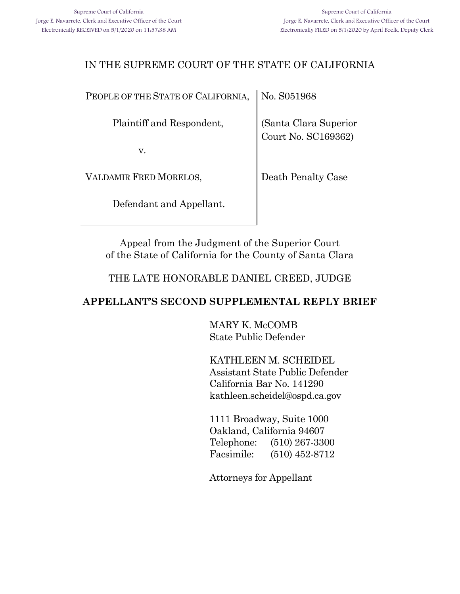## IN THE SUPREME COURT OF THE STATE OF CALIFORNIA

PEOPLE OF THE STATE OF CALIFORNIA,

Plaintiff and Respondent,

v.

VALDAMIR FRED MORELOS,

Defendant and Appellant.

No. S051968

(Santa Clara Superior Court No. SC169362)

Death Penalty Case

Appeal from the Judgment of the Superior Court of the State of California for the County of Santa Clara

THE LATE HONORABLE DANIEL CREED, JUDGE

### **APPELLANT'S SECOND SUPPLEMENTAL REPLY BRIEF**

MARY K. McCOMB State Public Defender

KATHLEEN M. SCHEIDEL Assistant State Public Defender California Bar No. 141290 kathleen.scheidel@ospd.ca.gov

1111 Broadway, Suite 1000 Oakland, California 94607 Telephone: (510) 267-3300 Facsimile: (510) 452-8712

Attorneys for Appellant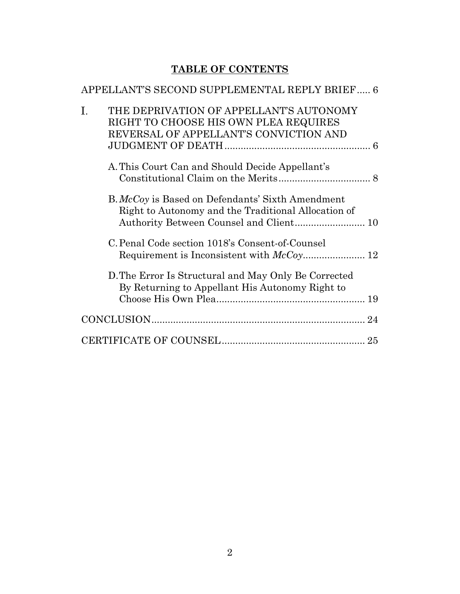# **TABLE OF CONTENTS**

| APPELLANT'S SECOND SUPPLEMENTAL REPLY BRIEF 6                                                                                    |
|----------------------------------------------------------------------------------------------------------------------------------|
| THE DEPRIVATION OF APPELLANT'S AUTONOMY<br>Ι.<br>RIGHT TO CHOOSE HIS OWN PLEA REQUIRES<br>REVERSAL OF APPELLANT'S CONVICTION AND |
| A. This Court Can and Should Decide Appellant's                                                                                  |
| B. McCoy is Based on Defendants' Sixth Amendment<br>Right to Autonomy and the Traditional Allocation of                          |
| C. Penal Code section 1018's Consent-of-Counsel                                                                                  |
| D. The Error Is Structural and May Only Be Corrected<br>By Returning to Appellant His Autonomy Right to                          |
|                                                                                                                                  |
|                                                                                                                                  |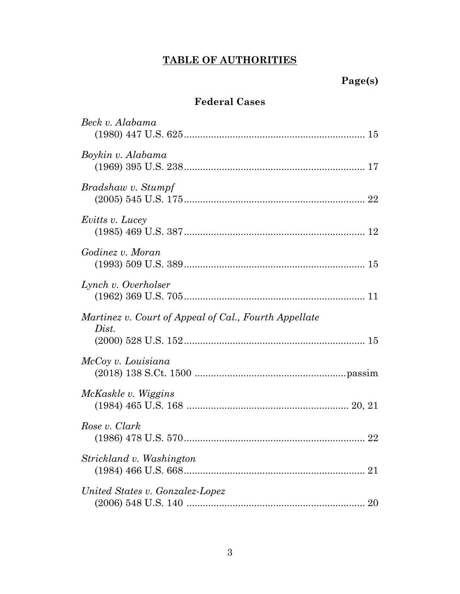# **TABLE OF AUTHORITIES**

## **Federal Cases**

| Beck v. Alabama                                                |
|----------------------------------------------------------------|
| Boykin v. Alabama                                              |
| Bradshaw v. Stumpf                                             |
| Evitts v. Lucey                                                |
| Godinez v. Moran                                               |
| Lynch v. Overholser                                            |
| Martinez v. Court of Appeal of Cal., Fourth Appellate<br>Dist. |
| McCoy v. Louisiana                                             |
| McKaskle v. Wiggins                                            |
| Rose v. Clark<br>22                                            |
| Strickland v. Washington<br>21                                 |
| United States v. Gonzalez-Lopez                                |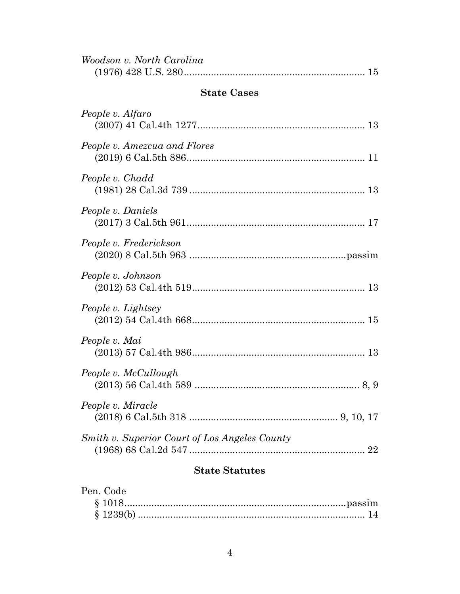| Woodson v. North Carolina                     |
|-----------------------------------------------|
| <b>State Cases</b>                            |
| People v. Alfaro                              |
| People v. Amezcua and Flores                  |
| People v. Chadd                               |
| People v. Daniels                             |
| People v. Frederickson                        |
| People v. Johnson                             |
| People v. Lightsey                            |
| People v. Mai                                 |
| People v. McCullough                          |
| People v. Miracle                             |
| Smith v. Superior Court of Los Angeles County |

# **State Statutes**

| Pen. Code |  |
|-----------|--|
|           |  |
|           |  |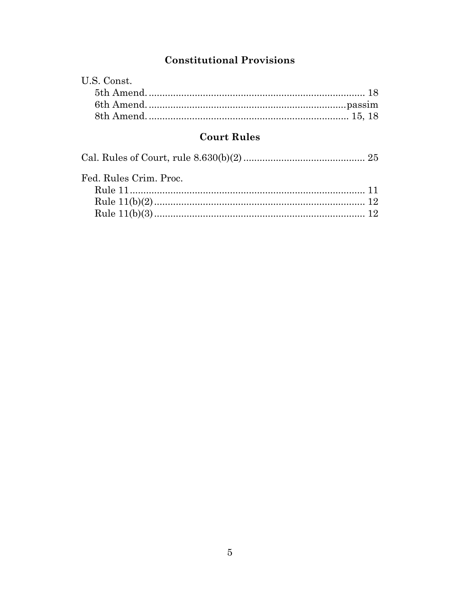## **Constitutional Provisions**

| U.S. Const. |  |
|-------------|--|
|             |  |
|             |  |
|             |  |

## **Court Rules**

| Fed. Rules Crim. Proc. |  |
|------------------------|--|
|                        |  |
|                        |  |
|                        |  |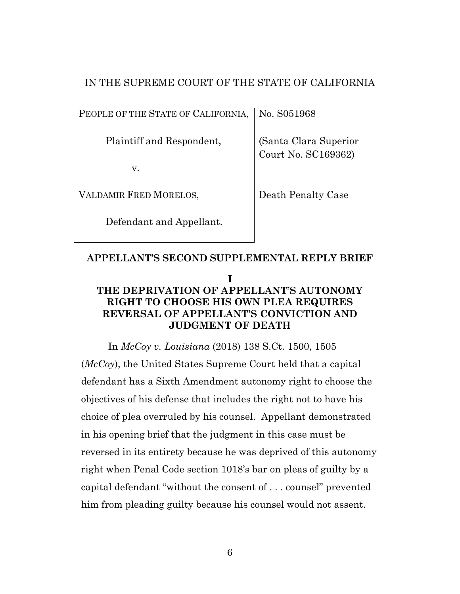#### IN THE SUPREME COURT OF THE STATE OF CALIFORNIA

PEOPLE OF THE STATE OF CALIFORNIA, No. S051968

Plaintiff and Respondent,

v.

VALDAMIR FRED MORELOS,

Defendant and Appellant.

(Santa Clara Superior Court No. SC169362)

Death Penalty Case

#### <span id="page-5-0"></span>**APPELLANT'S SECOND SUPPLEMENTAL REPLY BRIEF**

T

## <span id="page-5-1"></span>**THE DEPRIVATION OF APPELLANT'S AUTONOMY RIGHT TO CHOOSE HIS OWN PLEA REQUIRES REVERSAL OF APPELLANT'S CONVICTION AND JUDGMENT OF DEATH**

In *McCoy v. Louisiana* (2018) 138 S.Ct. 1500, 1505 (*McCoy*), the United States Supreme Court held that a capital defendant has a Sixth Amendment autonomy right to choose the objectives of his defense that includes the right not to have his choice of plea overruled by his counsel. Appellant demonstrated in his opening brief that the judgment in this case must be reversed in its entirety because he was deprived of this autonomy right when Penal Code section 1018's bar on pleas of guilty by a capital defendant "without the consent of . . . counsel" prevented him from pleading guilty because his counsel would not assent.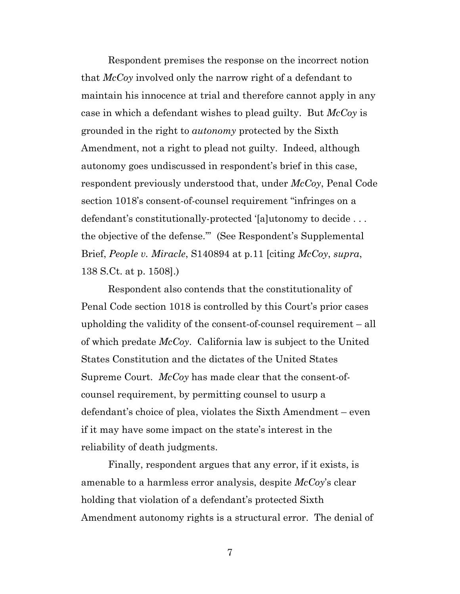Respondent premises the response on the incorrect notion that *McCoy* involved only the narrow right of a defendant to maintain his innocence at trial and therefore cannot apply in any case in which a defendant wishes to plead guilty. But *McCoy* is grounded in the right to *autonomy* protected by the Sixth Amendment, not a right to plead not guilty. Indeed, although autonomy goes undiscussed in respondent's brief in this case, respondent previously understood that, under *McCoy*, Penal Code section 1018's consent-of-counsel requirement "infringes on a defendant's constitutionally-protected '[a]utonomy to decide . . . the objective of the defense.'" (See Respondent's Supplemental Brief, *People v. Miracle*, S140894 at p.11 [citing *McCoy*, *supra*, 138 S.Ct. at p. 1508].)

Respondent also contends that the constitutionality of Penal Code section 1018 is controlled by this Court's prior cases upholding the validity of the consent-of-counsel requirement – all of which predate *McCoy*. California law is subject to the United States Constitution and the dictates of the United States Supreme Court. *McCoy* has made clear that the consent-ofcounsel requirement, by permitting counsel to usurp a defendant's choice of plea, violates the Sixth Amendment – even if it may have some impact on the state's interest in the reliability of death judgments.

Finally, respondent argues that any error, if it exists, is amenable to a harmless error analysis, despite *McCoy*'s clear holding that violation of a defendant's protected Sixth Amendment autonomy rights is a structural error. The denial of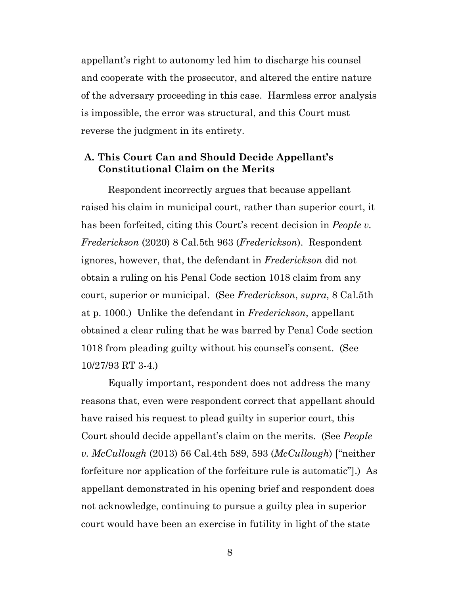appellant's right to autonomy led him to discharge his counsel and cooperate with the prosecutor, and altered the entire nature of the adversary proceeding in this case. Harmless error analysis is impossible, the error was structural, and this Court must reverse the judgment in its entirety.

#### <span id="page-7-0"></span>**A. This Court Can and Should Decide Appellant's Constitutional Claim on the Merits**

Respondent incorrectly argues that because appellant raised his claim in municipal court, rather than superior court, it has been forfeited, citing this Court's recent decision in *People v. Frederickson* (2020) 8 Cal.5th 963 (*Frederickson*). Respondent ignores, however, that, the defendant in *Frederickson* did not obtain a ruling on his Penal Code section 1018 claim from any court, superior or municipal. (See *Frederickson*, *supra*, 8 Cal.5th at p. 1000.) Unlike the defendant in *Frederickson*, appellant obtained a clear ruling that he was barred by Penal Code section 1018 from pleading guilty without his counsel's consent. (See 10/27/93 RT 3-4.)

Equally important, respondent does not address the many reasons that, even were respondent correct that appellant should have raised his request to plead guilty in superior court, this Court should decide appellant's claim on the merits. (See *People v. McCullough* (2013) 56 Cal.4th 589, 593 (*McCullough*) ["neither forfeiture nor application of the forfeiture rule is automatic"].) As appellant demonstrated in his opening brief and respondent does not acknowledge, continuing to pursue a guilty plea in superior court would have been an exercise in futility in light of the state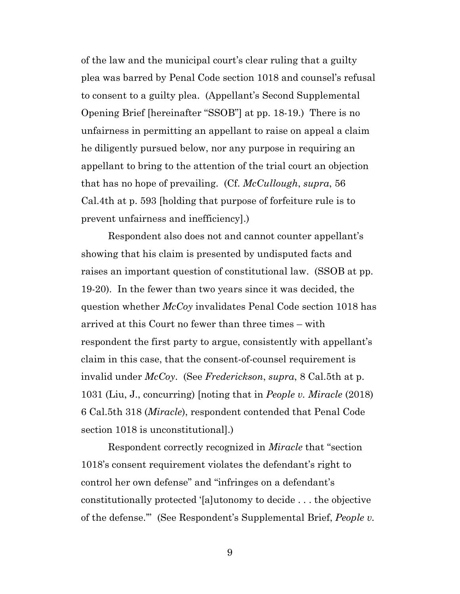of the law and the municipal court's clear ruling that a guilty plea was barred by Penal Code section 1018 and counsel's refusal to consent to a guilty plea. (Appellant's Second Supplemental Opening Brief [hereinafter "SSOB"] at pp. 18-19.) There is no unfairness in permitting an appellant to raise on appeal a claim he diligently pursued below, nor any purpose in requiring an appellant to bring to the attention of the trial court an objection that has no hope of prevailing. (Cf. *McCullough*, *supra*, 56 Cal.4th at p. 593 [holding that purpose of forfeiture rule is to prevent unfairness and inefficiency].)

Respondent also does not and cannot counter appellant's showing that his claim is presented by undisputed facts and raises an important question of constitutional law. (SSOB at pp. 19-20). In the fewer than two years since it was decided, the question whether *McCoy* invalidates Penal Code section 1018 has arrived at this Court no fewer than three times – with respondent the first party to argue, consistently with appellant's claim in this case, that the consent-of-counsel requirement is invalid under *McCoy*. (See *Frederickson*, *supra*, 8 Cal.5th at p. 1031 (Liu, J., concurring) [noting that in *People v. Miracle* (2018) 6 Cal.5th 318 (*Miracle*), respondent contended that Penal Code section 1018 is unconstitutional].)

Respondent correctly recognized in *Miracle* that "section 1018's consent requirement violates the defendant's right to control her own defense" and "infringes on a defendant's constitutionally protected '[a]utonomy to decide . . . the objective of the defense.'" (See Respondent's Supplemental Brief, *People v.*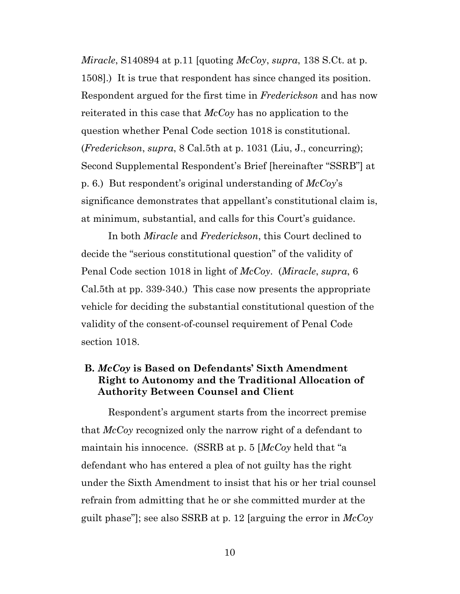*Miracle*, S140894 at p.11 [quoting *McCoy*, *supra*, 138 S.Ct. at p. 1508. It is true that respondent has since changed its position. Respondent argued for the first time in *Frederickson* and has now reiterated in this case that *McCoy* has no application to the question whether Penal Code section 1018 is constitutional. (*Frederickson*, *supra*, 8 Cal.5th at p. 1031 (Liu, J., concurring); Second Supplemental Respondent's Brief [hereinafter "SSRB"] at p. 6.) But respondent's original understanding of *McCoy*'s significance demonstrates that appellant's constitutional claim is, at minimum, substantial, and calls for this Court's guidance.

In both *Miracle* and *Frederickson*, this Court declined to decide the "serious constitutional question" of the validity of Penal Code section 1018 in light of *McCoy*. (*Miracle*, *supra*, 6 Cal.5th at pp. 339-340.) This case now presents the appropriate vehicle for deciding the substantial constitutional question of the validity of the consent-of-counsel requirement of Penal Code section 1018.

#### <span id="page-9-0"></span>**B.** *McCoy* **is Based on Defendants' Sixth Amendment Right to Autonomy and the Traditional Allocation of Authority Between Counsel and Client**

Respondent's argument starts from the incorrect premise that *McCoy* recognized only the narrow right of a defendant to maintain his innocence. (SSRB at p. 5 [*McCoy* held that "a defendant who has entered a plea of not guilty has the right under the Sixth Amendment to insist that his or her trial counsel refrain from admitting that he or she committed murder at the guilt phase"]; see also SSRB at p. 12 [arguing the error in *McCoy*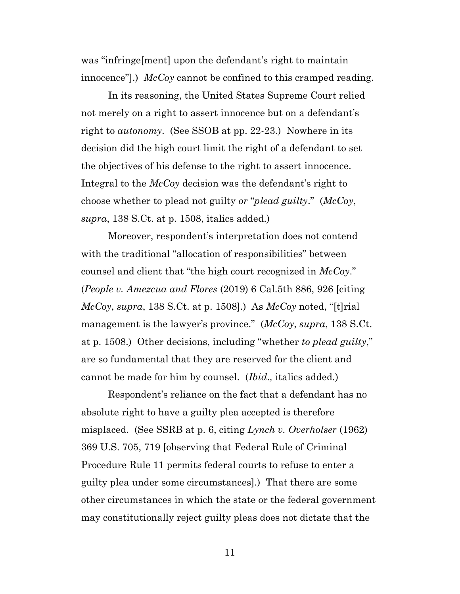was "infringe[ment] upon the defendant's right to maintain innocence"].) *McCoy* cannot be confined to this cramped reading.

In its reasoning, the United States Supreme Court relied not merely on a right to assert innocence but on a defendant's right to *autonomy*. (See SSOB at pp. 22-23.) Nowhere in its decision did the high court limit the right of a defendant to set the objectives of his defense to the right to assert innocence. Integral to the *McCoy* decision was the defendant's right to choose whether to plead not guilty *or* "*plead guilty*." (*McCoy*, *supra*, 138 S.Ct. at p. 1508, italics added.)

Moreover, respondent's interpretation does not contend with the traditional "allocation of responsibilities" between counsel and client that "the high court recognized in *McCoy*." (*People v. Amezcua and Flores* (2019) 6 Cal.5th 886, 926 [citing *McCoy*, *supra*, 138 S.Ct. at p. 1508].) As *McCoy* noted, "[t]rial management is the lawyer's province." (*McCoy*, *supra*, 138 S.Ct. at p. 1508.) Other decisions, including "whether *to plead guilty*," are so fundamental that they are reserved for the client and cannot be made for him by counsel. (*Ibid*.*,* italics added.)

Respondent's reliance on the fact that a defendant has no absolute right to have a guilty plea accepted is therefore misplaced. (See SSRB at p. 6, citing *Lynch v. Overholser* (1962) 369 U.S. 705, 719 [observing that Federal Rule of Criminal Procedure Rule 11 permits federal courts to refuse to enter a guilty plea under some circumstances].) That there are some other circumstances in which the state or the federal government may constitutionally reject guilty pleas does not dictate that the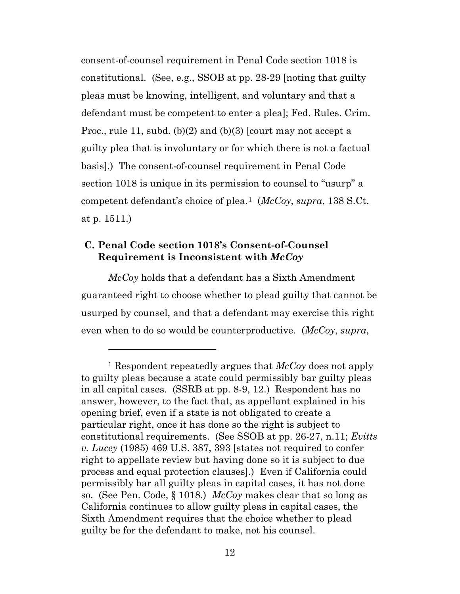consent-of-counsel requirement in Penal Code section 1018 is constitutional. (See, e.g., SSOB at pp. 28-29 [noting that guilty pleas must be knowing, intelligent, and voluntary and that a defendant must be competent to enter a plea]; Fed. Rules. Crim. Proc., rule 11, subd. (b)(2) and (b)(3) [court may not accept a guilty plea that is involuntary or for which there is not a factual basis].) The consent-of-counsel requirement in Penal Code section 1018 is unique in its permission to counsel to "usurp" a competent defendant's choice of plea.[1](#page-11-1) (*McCoy*, *supra*, 138 S.Ct. at p. 1511.)

### <span id="page-11-0"></span>**C. Penal Code section 1018's Consent-of-Counsel Requirement is Inconsistent with** *McCoy*

*McCoy* holds that a defendant has a Sixth Amendment guaranteed right to choose whether to plead guilty that cannot be usurped by counsel, and that a defendant may exercise this right even when to do so would be counterproductive. (*McCoy*, *supra*,

<span id="page-11-1"></span><sup>1</sup> Respondent repeatedly argues that *McCoy* does not apply to guilty pleas because a state could permissibly bar guilty pleas in all capital cases. (SSRB at pp. 8-9, 12.) Respondent has no answer, however, to the fact that, as appellant explained in his opening brief, even if a state is not obligated to create a particular right, once it has done so the right is subject to constitutional requirements. (See SSOB at pp. 26-27, n.11; *Evitts v. Lucey* (1985) 469 U.S. 387, 393 [states not required to confer right to appellate review but having done so it is subject to due process and equal protection clauses].) Even if California could permissibly bar all guilty pleas in capital cases, it has not done so. (See Pen. Code, § 1018.) *McCoy* makes clear that so long as California continues to allow guilty pleas in capital cases, the Sixth Amendment requires that the choice whether to plead guilty be for the defendant to make, not his counsel.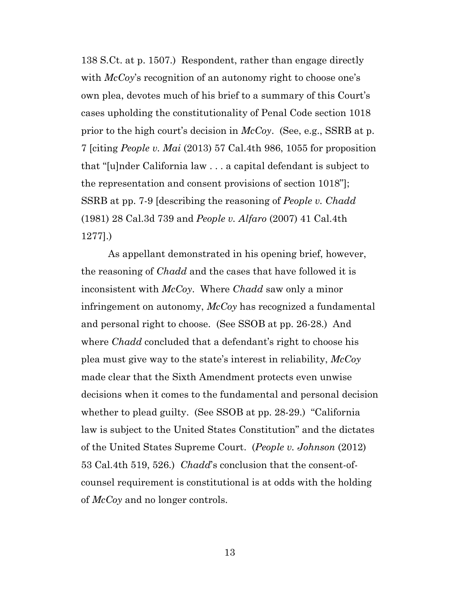138 S.Ct. at p. 1507.) Respondent, rather than engage directly with *McCoy*'s recognition of an autonomy right to choose one's own plea, devotes much of his brief to a summary of this Court's cases upholding the constitutionality of Penal Code section 1018 prior to the high court's decision in *McCoy*. (See, e.g., SSRB at p. 7 [citing *People v. Mai* (2013) 57 Cal.4th 986, 1055 for proposition that "[u]nder California law . . . a capital defendant is subject to the representation and consent provisions of section 1018"]; SSRB at pp. 7-9 [describing the reasoning of *People v. Chadd*  (1981) 28 Cal.3d 739 and *People v. Alfaro* (2007) 41 Cal.4th 1277].)

As appellant demonstrated in his opening brief, however, the reasoning of *Chadd* and the cases that have followed it is inconsistent with *McCoy*. Where *Chadd* saw only a minor infringement on autonomy, *McCoy* has recognized a fundamental and personal right to choose. (See SSOB at pp. 26-28.) And where *Chadd* concluded that a defendant's right to choose his plea must give way to the state's interest in reliability, *McCoy*  made clear that the Sixth Amendment protects even unwise decisions when it comes to the fundamental and personal decision whether to plead guilty. (See SSOB at pp. 28-29.) "California law is subject to the United States Constitution" and the dictates of the United States Supreme Court. (*People v. Johnson* (2012) 53 Cal.4th 519, 526.) *Chadd*'s conclusion that the consent-ofcounsel requirement is constitutional is at odds with the holding of *McCoy* and no longer controls.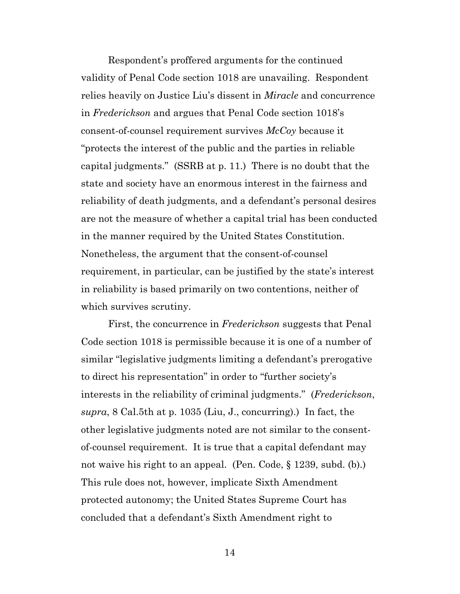Respondent's proffered arguments for the continued validity of Penal Code section 1018 are unavailing. Respondent relies heavily on Justice Liu's dissent in *Miracle* and concurrence in *Frederickson* and argues that Penal Code section 1018's consent-of-counsel requirement survives *McCoy* because it "protects the interest of the public and the parties in reliable capital judgments." (SSRB at p. 11.) There is no doubt that the state and society have an enormous interest in the fairness and reliability of death judgments, and a defendant's personal desires are not the measure of whether a capital trial has been conducted in the manner required by the United States Constitution. Nonetheless, the argument that the consent-of-counsel requirement, in particular, can be justified by the state's interest in reliability is based primarily on two contentions, neither of which survives scrutiny.

First, the concurrence in *Frederickson* suggests that Penal Code section 1018 is permissible because it is one of a number of similar "legislative judgments limiting a defendant's prerogative to direct his representation" in order to "further society's interests in the reliability of criminal judgments." (*Frederickson*, *supra*, 8 Cal.5th at p. 1035 (Liu, J., concurring).) In fact, the other legislative judgments noted are not similar to the consentof-counsel requirement. It is true that a capital defendant may not waive his right to an appeal. (Pen. Code, § 1239, subd. (b).) This rule does not, however, implicate Sixth Amendment protected autonomy; the United States Supreme Court has concluded that a defendant's Sixth Amendment right to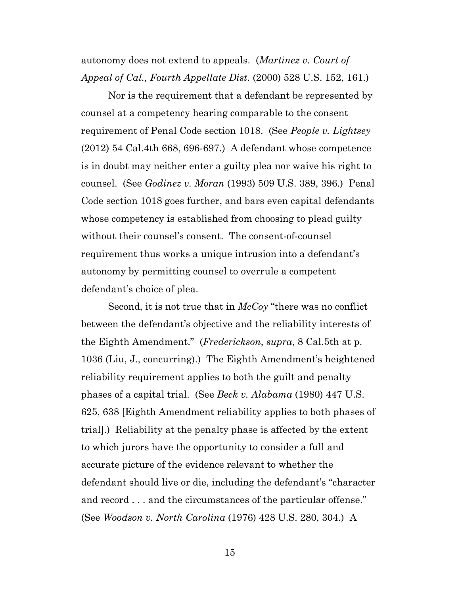autonomy does not extend to appeals. (*Martinez v. Court of Appeal of Cal., Fourth Appellate Dist.* (2000) 528 U.S. 152, 161.)

Nor is the requirement that a defendant be represented by counsel at a competency hearing comparable to the consent requirement of Penal Code section 1018. (See *People v. Lightsey* (2012) 54 Cal.4th 668, 696-697.)A defendant whose competence is in doubt may neither enter a guilty plea nor waive his right to counsel. (See *Godinez v. Moran* (1993) 509 U.S. 389, 396.) Penal Code section 1018 goes further, and bars even capital defendants whose competency is established from choosing to plead guilty without their counsel's consent. The consent-of-counsel requirement thus works a unique intrusion into a defendant's autonomy by permitting counsel to overrule a competent defendant's choice of plea.

Second, it is not true that in *McCoy* "there was no conflict between the defendant's objective and the reliability interests of the Eighth Amendment." (*Frederickson*, *supra*, 8 Cal.5th at p. 1036 (Liu, J., concurring).) The Eighth Amendment's heightened reliability requirement applies to both the guilt and penalty phases of a capital trial. (See *Beck v. Alabama* (1980) 447 U.S. 625, 638 [Eighth Amendment reliability applies to both phases of trial].) Reliability at the penalty phase is affected by the extent to which jurors have the opportunity to consider a full and accurate picture of the evidence relevant to whether the defendant should live or die, including the defendant's "character and record . . . and the circumstances of the particular offense." (See *Woodson v. North Carolina* (1976) 428 U.S. 280, 304.) A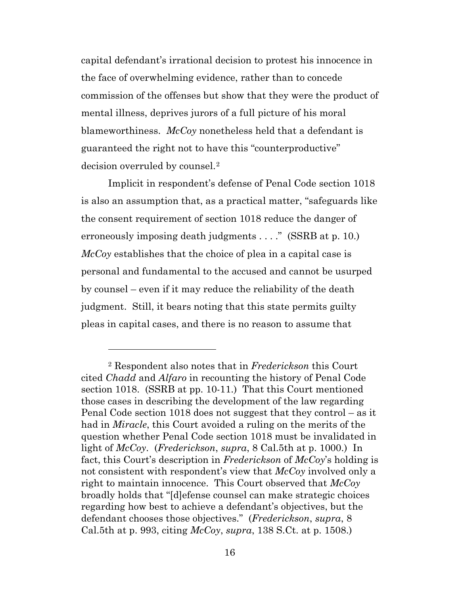capital defendant's irrational decision to protest his innocence in the face of overwhelming evidence, rather than to concede commission of the offenses but show that they were the product of mental illness, deprives jurors of a full picture of his moral blameworthiness. *McCoy* nonetheless held that a defendant is guaranteed the right not to have this "counterproductive" decision overruled by counsel.[2](#page-15-0)

Implicit in respondent's defense of Penal Code section 1018 is also an assumption that, as a practical matter, "safeguards like the consent requirement of section 1018 reduce the danger of erroneously imposing death judgments . . . ." (SSRB at p. 10.) *McCoy* establishes that the choice of plea in a capital case is personal and fundamental to the accused and cannot be usurped by counsel – even if it may reduce the reliability of the death judgment. Still, it bears noting that this state permits guilty pleas in capital cases, and there is no reason to assume that

<span id="page-15-0"></span><sup>2</sup> Respondent also notes that in *Frederickson* this Court cited *Chadd* and *Alfaro* in recounting the history of Penal Code section 1018. (SSRB at pp. 10-11.) That this Court mentioned those cases in describing the development of the law regarding Penal Code section 1018 does not suggest that they control – as it had in *Miracle*, this Court avoided a ruling on the merits of the question whether Penal Code section 1018 must be invalidated in light of *McCoy*. (*Frederickson*, *supra*, 8 Cal.5th at p. 1000.) In fact, this Court's description in *Frederickson* of *McCoy*'s holding is not consistent with respondent's view that *McCoy* involved only a right to maintain innocence. This Court observed that *McCoy* broadly holds that "[d]efense counsel can make strategic choices regarding how best to achieve a defendant's objectives, but the defendant chooses those objectives." (*Frederickson*, *supra*, 8 Cal.5th at p. 993, citing *McCoy*, *supra*, 138 S.Ct. at p. 1508.)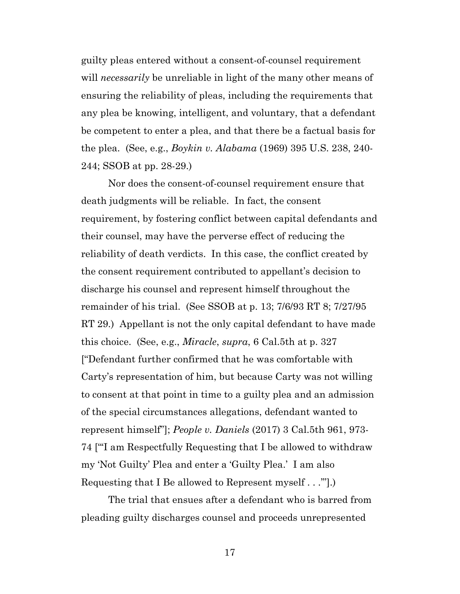guilty pleas entered without a consent-of-counsel requirement will *necessarily* be unreliable in light of the many other means of ensuring the reliability of pleas, including the requirements that any plea be knowing, intelligent, and voluntary, that a defendant be competent to enter a plea, and that there be a factual basis for the plea. (See, e.g., *Boykin v. Alabama* (1969) 395 U.S. 238, 240- 244; SSOB at pp. 28-29.)

Nor does the consent-of-counsel requirement ensure that death judgments will be reliable. In fact, the consent requirement, by fostering conflict between capital defendants and their counsel, may have the perverse effect of reducing the reliability of death verdicts. In this case, the conflict created by the consent requirement contributed to appellant's decision to discharge his counsel and represent himself throughout the remainder of his trial. (See SSOB at p. 13; 7/6/93 RT 8; 7/27/95 RT 29.) Appellant is not the only capital defendant to have made this choice. (See, e.g., *Miracle*, *supra*, 6 Cal.5th at p. 327 ["Defendant further confirmed that he was comfortable with Carty's representation of him, but because Carty was not willing to consent at that point in time to a guilty plea and an admission of the special circumstances allegations, defendant wanted to represent himself"]; *People v. Daniels* (2017) 3 Cal.5th 961, 973- 74 ["'I am Respectfully Requesting that I be allowed to withdraw my 'Not Guilty' Plea and enter a 'Guilty Plea.' I am also Requesting that I Be allowed to Represent myself . . .'"].)

The trial that ensues after a defendant who is barred from pleading guilty discharges counsel and proceeds unrepresented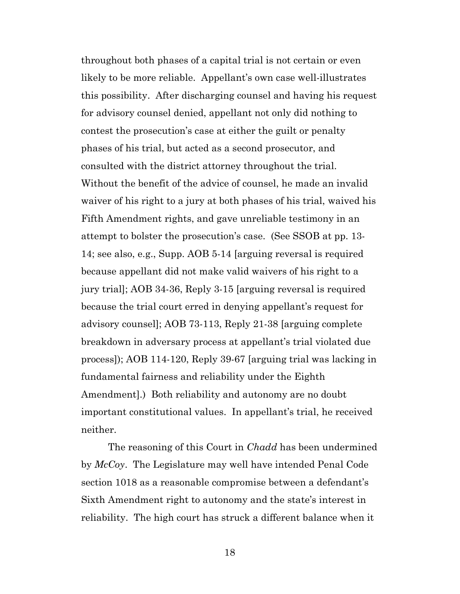throughout both phases of a capital trial is not certain or even likely to be more reliable. Appellant's own case well-illustrates this possibility. After discharging counsel and having his request for advisory counsel denied, appellant not only did nothing to contest the prosecution's case at either the guilt or penalty phases of his trial, but acted as a second prosecutor, and consulted with the district attorney throughout the trial. Without the benefit of the advice of counsel, he made an invalid waiver of his right to a jury at both phases of his trial, waived his Fifth Amendment rights, and gave unreliable testimony in an attempt to bolster the prosecution's case. (See SSOB at pp. 13- 14; see also, e.g., Supp. AOB 5-14 [arguing reversal is required because appellant did not make valid waivers of his right to a jury trial]; AOB 34-36, Reply 3-15 [arguing reversal is required because the trial court erred in denying appellant's request for advisory counsel]; AOB 73-113, Reply 21-38 [arguing complete breakdown in adversary process at appellant's trial violated due process]); AOB 114-120, Reply 39-67 [arguing trial was lacking in fundamental fairness and reliability under the Eighth Amendment].) Both reliability and autonomy are no doubt important constitutional values. In appellant's trial, he received neither.

The reasoning of this Court in *Chadd* has been undermined by *McCoy*. The Legislature may well have intended Penal Code section 1018 as a reasonable compromise between a defendant's Sixth Amendment right to autonomy and the state's interest in reliability. The high court has struck a different balance when it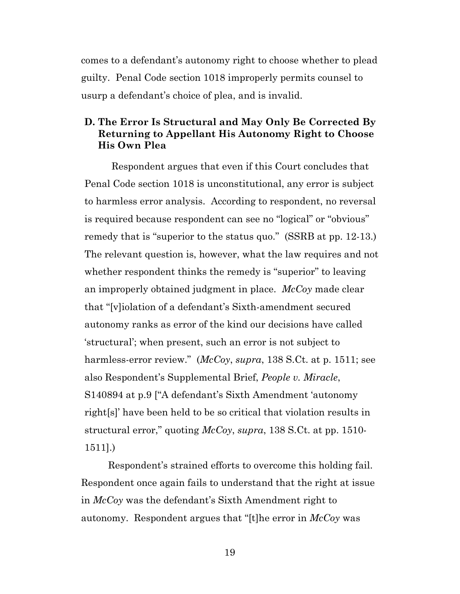comes to a defendant's autonomy right to choose whether to plead guilty. Penal Code section 1018 improperly permits counsel to usurp a defendant's choice of plea, and is invalid.

### <span id="page-18-0"></span>**D. The Error Is Structural and May Only Be Corrected By Returning to Appellant His Autonomy Right to Choose His Own Plea**

Respondent argues that even if this Court concludes that Penal Code section 1018 is unconstitutional, any error is subject to harmless error analysis. According to respondent, no reversal is required because respondent can see no "logical" or "obvious" remedy that is "superior to the status quo." (SSRB at pp. 12-13.) The relevant question is, however, what the law requires and not whether respondent thinks the remedy is "superior" to leaving an improperly obtained judgment in place. *McCoy* made clear that "[v]iolation of a defendant's Sixth-amendment secured autonomy ranks as error of the kind our decisions have called 'structural'; when present, such an error is not subject to harmless-error review." (*McCoy*, *supra*, 138 S.Ct. at p. 1511; see also Respondent's Supplemental Brief, *People v. Miracle*, S140894 at p.9 ["A defendant's Sixth Amendment 'autonomy right[s]' have been held to be so critical that violation results in structural error," quoting *McCoy*, *supra*, 138 S.Ct. at pp. 1510- 1511].)

Respondent's strained efforts to overcome this holding fail. Respondent once again fails to understand that the right at issue in *McCoy* was the defendant's Sixth Amendment right to autonomy. Respondent argues that "[t]he error in *McCoy* was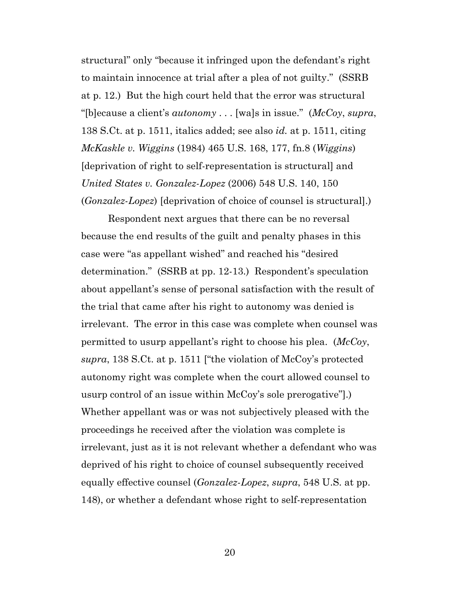structural" only "because it infringed upon the defendant's right to maintain innocence at trial after a plea of not guilty." (SSRB at p. 12.) But the high court held that the error was structural "[b]ecause a client's *autonomy* . . . [wa]s in issue." (*McCoy*, *supra*, 138 S.Ct. at p. 1511, italics added; see also *id.* at p. 1511, citing *McKaskle v. Wiggins* (1984) 465 U.S. 168, 177, fn.8 (*Wiggins*) [deprivation of right to self-representation is structural] and *United States v. Gonzalez-Lopez* (2006) 548 U.S. 140, 150 (*Gonzalez-Lopez*) [deprivation of choice of counsel is structural].)

Respondent next argues that there can be no reversal because the end results of the guilt and penalty phases in this case were "as appellant wished" and reached his "desired determination." (SSRB at pp. 12-13.) Respondent's speculation about appellant's sense of personal satisfaction with the result of the trial that came after his right to autonomy was denied is irrelevant. The error in this case was complete when counsel was permitted to usurp appellant's right to choose his plea. (*McCoy*, *supra*, 138 S.Ct. at p. 1511 ["the violation of McCoy's protected autonomy right was complete when the court allowed counsel to usurp control of an issue within McCoy's sole prerogative"].) Whether appellant was or was not subjectively pleased with the proceedings he received after the violation was complete is irrelevant, just as it is not relevant whether a defendant who was deprived of his right to choice of counsel subsequently received equally effective counsel (*Gonzalez-Lopez*, *supra*, 548 U.S. at pp. 148), or whether a defendant whose right to self-representation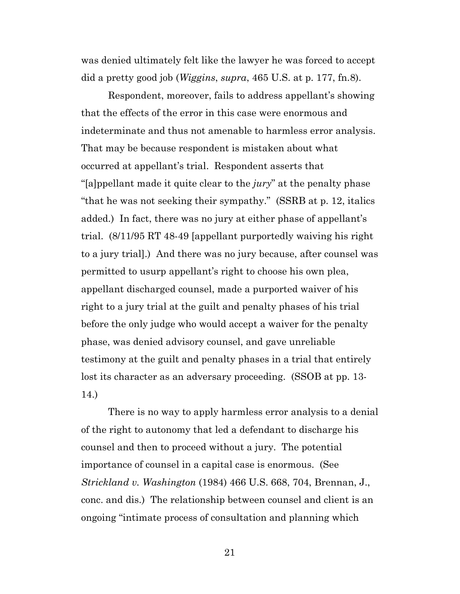was denied ultimately felt like the lawyer he was forced to accept did a pretty good job (*Wiggins*, *supra*, 465 U.S. at p. 177, fn.8).

Respondent, moreover, fails to address appellant's showing that the effects of the error in this case were enormous and indeterminate and thus not amenable to harmless error analysis. That may be because respondent is mistaken about what occurred at appellant's trial. Respondent asserts that "[a]ppellant made it quite clear to the *jury*" at the penalty phase "that he was not seeking their sympathy." (SSRB at p. 12, italics added.) In fact, there was no jury at either phase of appellant's trial. (8/11/95 RT 48-49 [appellant purportedly waiving his right to a jury trial].) And there was no jury because, after counsel was permitted to usurp appellant's right to choose his own plea, appellant discharged counsel, made a purported waiver of his right to a jury trial at the guilt and penalty phases of his trial before the only judge who would accept a waiver for the penalty phase, was denied advisory counsel, and gave unreliable testimony at the guilt and penalty phases in a trial that entirely lost its character as an adversary proceeding. (SSOB at pp. 13-14.)

There is no way to apply harmless error analysis to a denial of the right to autonomy that led a defendant to discharge his counsel and then to proceed without a jury. The potential importance of counsel in a capital case is enormous. (See *Strickland v. Washington* (1984) 466 U.S. 668, 704, Brennan, J., conc. and dis.) The relationship between counsel and client is an ongoing "intimate process of consultation and planning which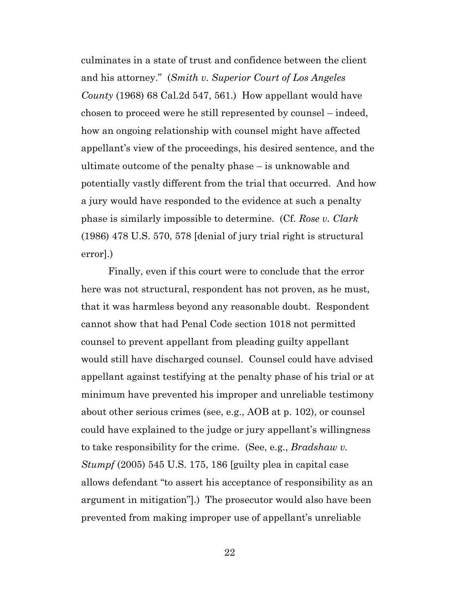culminates in a state of trust and confidence between the client and his attorney." (*Smith v. Superior Court of Los Angeles County* (1968) 68 Cal.2d 547, 561.) How appellant would have chosen to proceed were he still represented by counsel – indeed, how an ongoing relationship with counsel might have affected appellant's view of the proceedings, his desired sentence, and the ultimate outcome of the penalty phase – is unknowable and potentially vastly different from the trial that occurred. And how a jury would have responded to the evidence at such a penalty phase is similarly impossible to determine. (Cf. *Rose v. Clark* (1986) 478 U.S. 570, 578 [denial of jury trial right is structural error].)

Finally, even if this court were to conclude that the error here was not structural, respondent has not proven, as he must, that it was harmless beyond any reasonable doubt. Respondent cannot show that had Penal Code section 1018 not permitted counsel to prevent appellant from pleading guilty appellant would still have discharged counsel. Counsel could have advised appellant against testifying at the penalty phase of his trial or at minimum have prevented his improper and unreliable testimony about other serious crimes (see, e.g., AOB at p. 102), or counsel could have explained to the judge or jury appellant's willingness to take responsibility for the crime. (See, e.g., *Bradshaw v. Stumpf* (2005) 545 U.S. 175, 186 [guilty plea in capital case allows defendant "to assert his acceptance of responsibility as an argument in mitigation"].) The prosecutor would also have been prevented from making improper use of appellant's unreliable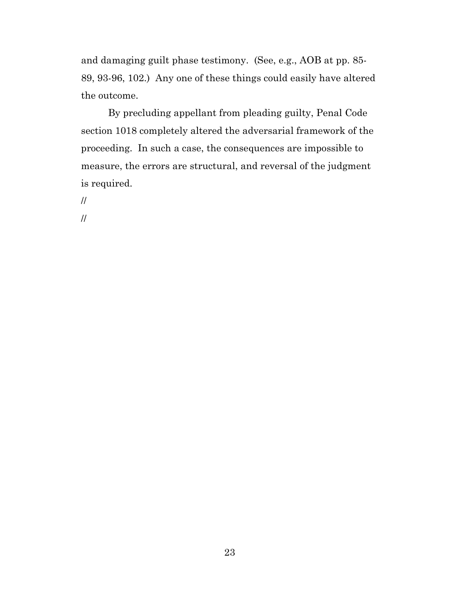and damaging guilt phase testimony. (See, e.g., AOB at pp. 85- 89, 93-96, 102.) Any one of these things could easily have altered the outcome.

By precluding appellant from pleading guilty, Penal Code section 1018 completely altered the adversarial framework of the proceeding. In such a case, the consequences are impossible to measure, the errors are structural, and reversal of the judgment is required.

 $\frac{1}{2}$ 

 $\frac{1}{2}$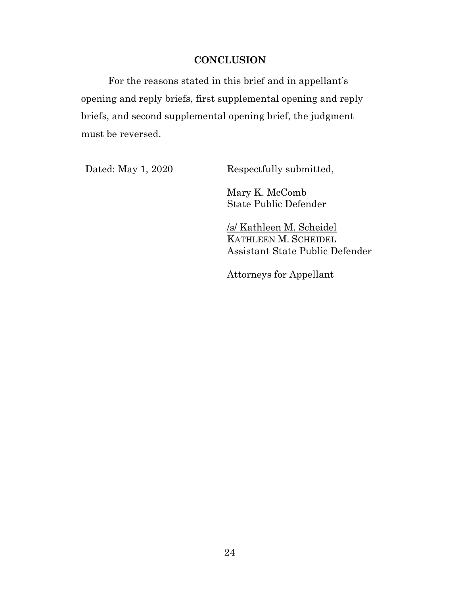#### **CONCLUSION**

<span id="page-23-0"></span>For the reasons stated in this brief and in appellant's opening and reply briefs, first supplemental opening and reply briefs, and second supplemental opening brief, the judgment must be reversed.

Dated: May 1, 2020 Respectfully submitted,

Mary K. McComb State Public Defender

/s/ Kathleen M. Scheidel KATHLEEN M. SCHEIDEL Assistant State Public Defender

Attorneys for Appellant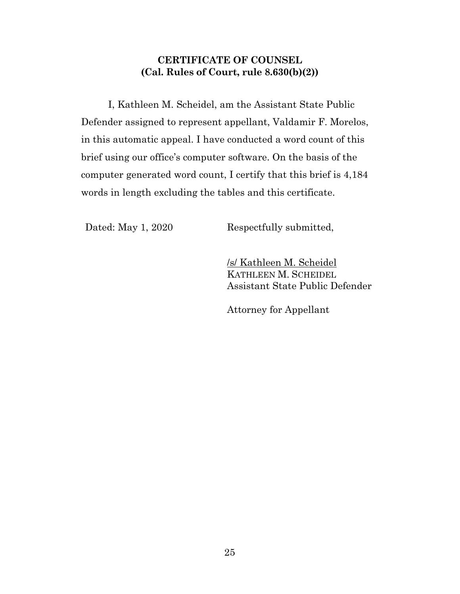### **CERTIFICATE OF COUNSEL (Cal. Rules of Court, rule 8.630(b)(2))**

<span id="page-24-0"></span>I, Kathleen M. Scheidel, am the Assistant State Public Defender assigned to represent appellant, Valdamir F. Morelos, in this automatic appeal. I have conducted a word count of this brief using our office's computer software. On the basis of the computer generated word count, I certify that this brief is 4,184 words in length excluding the tables and this certificate.

Dated: May 1, 2020 Respectfully submitted,

/s/ Kathleen M. Scheidel KATHLEEN M. SCHEIDEL Assistant State Public Defender

Attorney for Appellant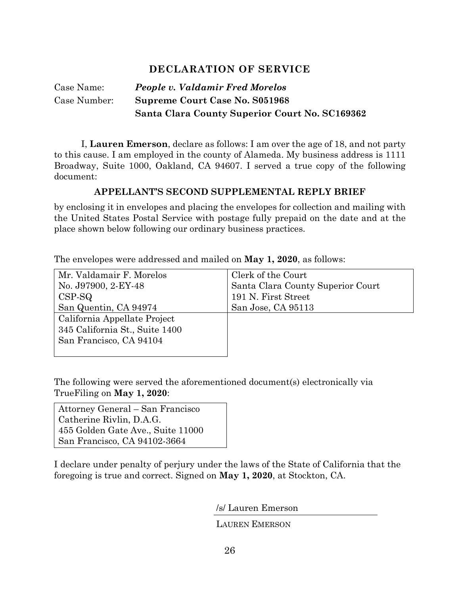## **DECLARATION OF SERVICE**

| Case Name:   | <b>People v. Valdamir Fred Morelos</b>         |
|--------------|------------------------------------------------|
| Case Number: | Supreme Court Case No. S051968                 |
|              | Santa Clara County Superior Court No. SC169362 |

I, **Lauren Emerson**, declare as follows: I am over the age of 18, and not party to this cause. I am employed in the county of Alameda. My business address is 1111 Broadway, Suite 1000, Oakland, CA 94607. I served a true copy of the following document:

#### **APPELLANT'S SECOND SUPPLEMENTAL REPLY BRIEF**

by enclosing it in envelopes and placing the envelopes for collection and mailing with the United States Postal Service with postage fully prepaid on the date and at the place shown below following our ordinary business practices.

| Mr. Valdamair F. Morelos       | Clerk of the Court                |
|--------------------------------|-----------------------------------|
| No. J97900, 2-EY-48            | Santa Clara County Superior Court |
| $CSP-SQ$                       | 191 N. First Street               |
| San Quentin, CA 94974          | San Jose, CA 95113                |
| California Appellate Project   |                                   |
| 345 California St., Suite 1400 |                                   |
| San Francisco, CA 94104        |                                   |
|                                |                                   |

The envelopes were addressed and mailed on **May , 2020**, as follows:

The following were served the aforementioned document(s) electronically via TrueFiling on **May , 2020**:

Attorney General – San Francisco Catherine Rivlin, D.A.G. 455 Golden Gate Ave., Suite 11000 San Francisco, CA 94102-3664

I declare under penalty of perjury under the laws of the State of California that the foregoing is true and correct. Signed on **May , 2020**, at Stockton, CA.

/s/ Lauren Emerson

LAUREN EMERSON